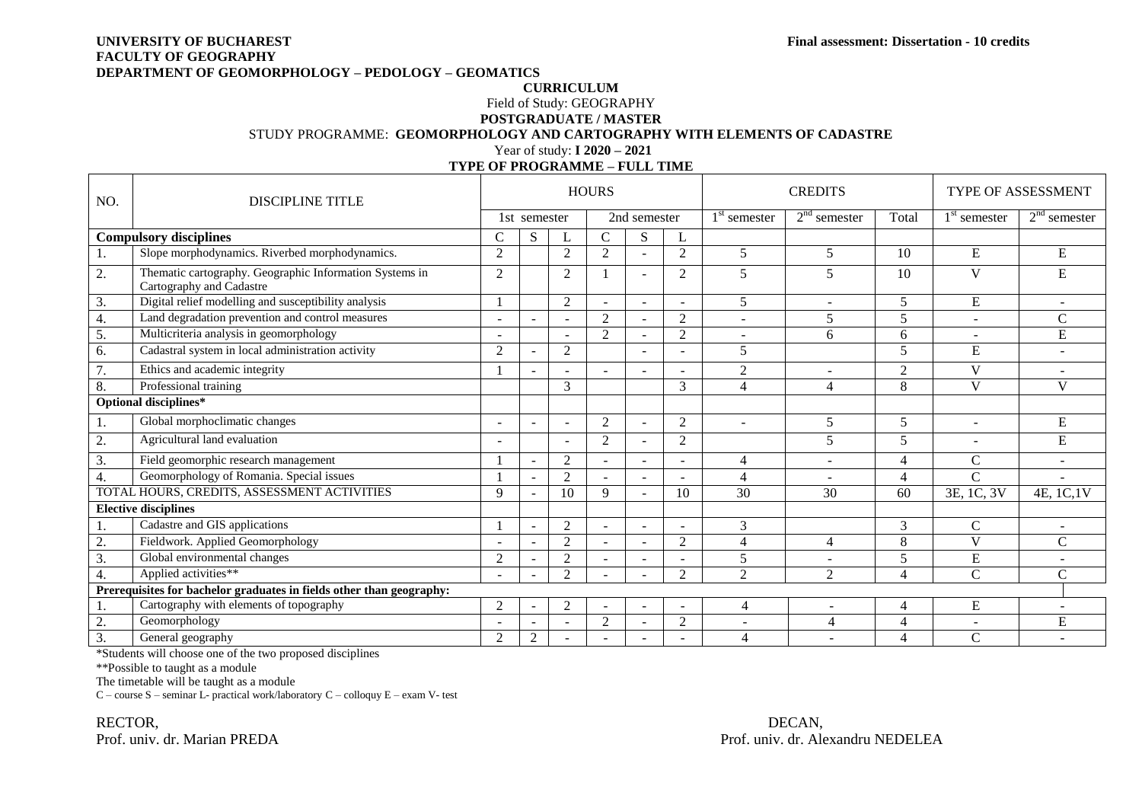## **UNIVERSITY OF BUCHAREST Final assessment: Dissertation - 10 credits FACULTY OF GEOGRAPHY DEPARTMENT OF GEOMORPHOLOGY – PEDOLOGY – GEOMATICS**

## **CURRICULUM** Field of Study: GEOGRAPHY **POSTGRADUATE / MASTER** STUDY PROGRAMME: **GEOMORPHOLOGY AND CARTOGRAPHY WITH ELEMENTS OF CADASTRE** Year of study: **I 2020 – 2021**

|                                             |                                                                                     | І ПЕОГІ КООКАМІМЕ – ГОСС ПІМЕ |                |                          |                          |              |                |                 |                          |                           |                          |                          |
|---------------------------------------------|-------------------------------------------------------------------------------------|-------------------------------|----------------|--------------------------|--------------------------|--------------|----------------|-----------------|--------------------------|---------------------------|--------------------------|--------------------------|
| NO.                                         | <b>DISCIPLINE TITLE</b>                                                             |                               |                |                          | <b>HOURS</b>             |              |                |                 | <b>CREDITS</b>           | <b>TYPE OF ASSESSMENT</b> |                          |                          |
|                                             |                                                                                     |                               | 1st semester   |                          |                          | 2nd semester |                | $1st$ semester  | $2nd$ semester           | Total                     | $1st$ semester           | $2nd$ semester           |
| <b>Compulsory disciplines</b>               |                                                                                     | $\mathsf{C}$                  | ${\bf S}$      |                          | $\mathsf{C}$             | S            |                |                 |                          |                           |                          |                          |
|                                             | Slope morphodynamics. Riverbed morphodynamics.                                      | $\overline{2}$                |                | 2                        | 2                        |              | $\overline{2}$ | 5               | 5                        | 10                        | ${\bf E}$                | ${\bf E}$                |
| 2.                                          | Thematic cartography. Geographic Information Systems in<br>Cartography and Cadastre | 2                             |                | 2                        |                          |              | $\overline{2}$ | 5               | 5                        | 10                        | V                        | E                        |
| 3.                                          | Digital relief modelling and susceptibility analysis                                |                               |                | $\overline{2}$           |                          |              |                | 5               |                          | 5                         | ${\bf E}$                |                          |
| 4.                                          | Land degradation prevention and control measures                                    | $\overline{\phantom{a}}$      |                | $\sim$                   | $\overline{2}$           |              | $\overline{2}$ | $\blacksquare$  | 5                        | 5                         | $\sim$                   | $\mathbf C$              |
| 5.                                          | Multicriteria analysis in geomorphology                                             | $\overline{a}$                |                |                          | 2                        |              | $\overline{2}$ | $\blacksquare$  | 6                        | 6                         | ۰                        | ${\bf E}$                |
| 6.                                          | Cadastral system in local administration activity                                   | 2                             |                | 2                        |                          |              |                | 5               |                          | 5                         | E                        | ÷                        |
| 7.                                          | Ethics and academic integrity                                                       |                               |                | $\blacksquare$           |                          |              |                | $\overline{2}$  | $\overline{\phantom{a}}$ | $\overline{2}$            | $\mathbf{V}$             |                          |
| 8.                                          | Professional training                                                               |                               |                | $\mathfrak{Z}$           |                          |              | 3              | 4               | $\overline{4}$           | 8                         | $\mathbf{V}$             | V                        |
|                                             | Optional disciplines*                                                               |                               |                |                          |                          |              |                |                 |                          |                           |                          |                          |
| ī.                                          | Global morphoclimatic changes                                                       | $\blacksquare$                |                | ÷                        | 2                        |              | 2              | ÷,              | 5                        | 5                         | ÷.                       | ${\bf E}$                |
| 2.                                          | Agricultural land evaluation                                                        | $\overline{\phantom{0}}$      |                | $\overline{a}$           | 2                        |              | $\overline{2}$ |                 | 5                        | 5                         | $\overline{\phantom{a}}$ | E                        |
| 3.                                          | Field geomorphic research management                                                |                               |                | 2                        |                          |              |                | 4               |                          | $\overline{4}$            | $\mathsf{C}$             |                          |
| 4.                                          | Geomorphology of Romania. Special issues                                            |                               |                | $\overline{2}$           |                          |              |                | 4               | $\sim$                   | $\Delta$                  | $\mathbf C$              |                          |
| TOTAL HOURS, CREDITS, ASSESSMENT ACTIVITIES |                                                                                     | 9                             |                | 10                       | 9                        |              | 10             | $\overline{30}$ | 30                       | 60                        | 3E, 1C, 3V               | 4E, 1C, 1V               |
|                                             | <b>Elective disciplines</b>                                                         |                               |                |                          |                          |              |                |                 |                          |                           |                          |                          |
|                                             | Cadastre and GIS applications                                                       |                               |                | $\overline{2}$           | $\overline{\phantom{0}}$ |              |                | 3               |                          | 3                         | $\mathsf{C}$             | $\overline{\phantom{a}}$ |
| $\overline{2}$ .                            | Fieldwork. Applied Geomorphology                                                    |                               |                | 2                        |                          |              | $\overline{2}$ | $\overline{4}$  | 4                        | 8                         | $\mathbf{V}$             | $\mathbf C$              |
| 3.                                          | Global environmental changes                                                        | $\overline{2}$                |                | $\overline{2}$           |                          |              |                | 5               |                          | 5                         | ${\bf E}$                | $\overline{\phantom{a}}$ |
| $\overline{4}$ .                            | Applied activities**                                                                |                               |                | 2                        |                          |              | $\mathfrak{D}$ | $\overline{2}$  | $\gamma$                 | $\Delta$                  | $\overline{C}$           | $\mathcal{C}$            |
|                                             | Prerequisites for bachelor graduates in fields other than geography:                |                               |                |                          |                          |              |                |                 |                          |                           |                          |                          |
|                                             | Cartography with elements of topography                                             | $\overline{2}$                |                | $\overline{2}$           |                          |              |                | $\overline{4}$  | $\overline{\phantom{a}}$ | $\overline{4}$            | ${\bf E}$                | $\blacksquare$           |
| $\overline{2}$                              | Geomorphology                                                                       |                               |                |                          | 2                        |              | $\overline{2}$ |                 | $\overline{4}$           | $\overline{\Lambda}$      | $\overline{\phantom{0}}$ | ${\bf E}$                |
| 3.                                          | General geography                                                                   | $\overline{2}$                | $\overline{2}$ | $\overline{\phantom{a}}$ |                          |              |                | $\overline{4}$  | $\overline{\phantom{a}}$ | $\overline{4}$            | $\mathbf C$              |                          |

**TYPE OF PROGRAMME – FULL TIME**

\*Students will choose one of the two proposed disciplines

\*\*Possible to taught as a module

The timetable will be taught as a module

C – course  $S$  – seminar L- practical work/laboratory  $C$  – colloquy  $E$  – exam V- test

RECTOR, DECAN, Prof. univ. dr. Marian PREDA Prof. univ. dr. Alexandru NEDELEA